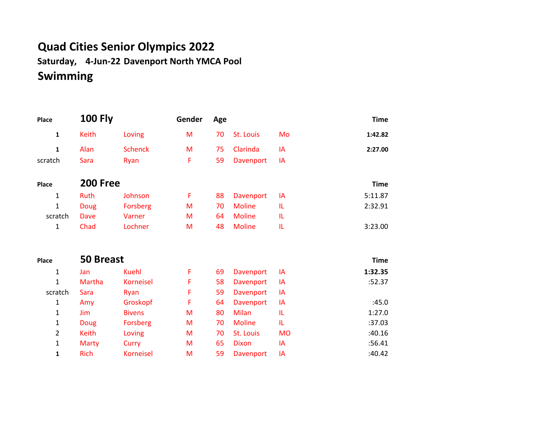## **Quad Cities Senior Olympics 2022**

**Saturday, 4-Jun-22 Davenport North YMCA Pool Swimming**

| Place          | <b>100 Fly</b>   |                  | Gender | Age |                  |           | <b>Time</b> |
|----------------|------------------|------------------|--------|-----|------------------|-----------|-------------|
| $\mathbf 1$    | Keith            | Loving           | M      | 70  | St. Louis        | Mo        | 1:42.82     |
| 1              | Alan             | <b>Schenck</b>   | M      | 75  | Clarinda         | IA        | 2:27.00     |
| scratch        | <b>Sara</b>      | Ryan             | F      | 59  | Davenport        | IA        |             |
| Place          | <b>200 Free</b>  |                  |        |     |                  |           | <b>Time</b> |
| 1              | Ruth             | Johnson          | F      | 88  | Davenport        | IA        | 5:11.87     |
| $\mathbf{1}$   | <b>Doug</b>      | Forsberg         | M      | 70  | <b>Moline</b>    | IL        | 2:32.91     |
| scratch        | Dave             | Varner           | M      | 64  | <b>Moline</b>    | TL.       |             |
| 1              | Chad             | Lochner          | M      | 48  | <b>Moline</b>    | TL.       | 3:23.00     |
| Place          | <b>50 Breast</b> |                  |        |     |                  |           | <b>Time</b> |
| 1              | Jan              | <b>Kuehl</b>     | F      | 69  | Davenport        | IA        | 1:32.35     |
| $\mathbf{1}$   | Martha           | <b>Korneisel</b> | F      | 58  | <b>Davenport</b> | IA        | :52.37      |
| scratch        | Sara             | Ryan             | F      | 59  | Davenport        | IA        |             |
| 1              | Amy              | Groskopf         | F      | 64  | Davenport        | IA        | :45.0       |
| 1              | Jim              | <b>Bivens</b>    | M      | 80  | Milan            | IL        | 1:27.0      |
| 1              | Doug             | Forsberg         | M      | 70  | <b>Moline</b>    | TL.       | :37.03      |
| $\overline{2}$ | <b>Keith</b>     | Loving           | M      | 70  | St. Louis        | <b>MO</b> | :40.16      |
| $\mathbf{1}$   | <b>Marty</b>     | Curry            | M      | 65  | <b>Dixon</b>     | IA        | :56.41      |
| 1              | <b>Rich</b>      | <b>Korneisel</b> | M      | 59  | <b>Davenport</b> | IA        | :40.42      |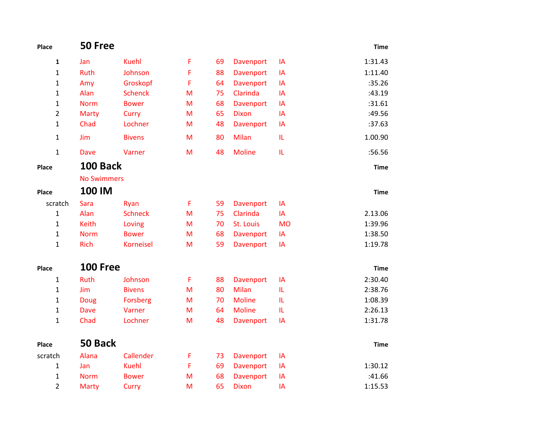| Place          | 50 Free            |                  |   |    |               |           | <b>Time</b> |
|----------------|--------------------|------------------|---|----|---------------|-----------|-------------|
| 1              | Jan                | <b>Kuehl</b>     | F | 69 | Davenport     | IA        | 1:31.43     |
| 1              | Ruth               | Johnson          | F | 88 | Davenport     | IA        | 1:11.40     |
| 1              | Amy                | Groskopf         | F | 64 | Davenport     | IA        | :35.26      |
| 1              | Alan               | <b>Schenck</b>   | M | 75 | Clarinda      | IA        | :43.19      |
| 1              | <b>Norm</b>        | <b>Bower</b>     | M | 68 | Davenport     | IA        | :31.61      |
| $\overline{2}$ | Marty              | Curry            | M | 65 | <b>Dixon</b>  | IA        | :49.56      |
| 1              | Chad               | Lochner          | M | 48 | Davenport     | IA        | :37.63      |
| 1              | Jim                | <b>Bivens</b>    | M | 80 | Milan         | IL.       | 1.00.90     |
| $\mathbf{1}$   | <b>Dave</b>        | Varner           | M | 48 | <b>Moline</b> | IL.       | :56.56      |
| Place          | <b>100 Back</b>    |                  |   |    |               |           | <b>Time</b> |
|                | <b>No Swimmers</b> |                  |   |    |               |           |             |
| Place          | 100 IM             |                  |   |    |               |           | <b>Time</b> |
| scratch        | Sara               | Ryan             | F | 59 | Davenport     | IA        |             |
| $\mathbf{1}$   | Alan               | <b>Schneck</b>   | M | 75 | Clarinda      | IA        | 2.13.06     |
| $\mathbf{1}$   | <b>Keith</b>       | Loving           | M | 70 | St. Louis     | <b>MO</b> | 1:39.96     |
| $\mathbf{1}$   | <b>Norm</b>        | <b>Bower</b>     | M | 68 | Davenport     | IA        | 1:38.50     |
| 1              | <b>Rich</b>        | <b>Korneisel</b> | M | 59 | Davenport     | IA        | 1:19.78     |
| Place          | <b>100 Free</b>    |                  |   |    |               |           | <b>Time</b> |
| $\mathbf{1}$   | <b>Ruth</b>        | Johnson          | F | 88 | Davenport     | IA        | 2:30.40     |
| $\mathbf{1}$   | Jim                | <b>Bivens</b>    | M | 80 | <b>Milan</b>  | IL.       | 2:38.76     |
| 1              | Doug               | <b>Forsberg</b>  | M | 70 | <b>Moline</b> | IL.       | 1:08.39     |
| 1              | <b>Dave</b>        | Varner           | M | 64 | <b>Moline</b> | IL.       | 2:26.13     |
| 1              | Chad               | Lochner          | M | 48 | Davenport     | IA        | 1:31.78     |
| Place          | 50 Back            |                  |   |    |               |           | <b>Time</b> |
| scratch        | Alana              | Callender        | F | 73 | Davenport     | IA        |             |
| 1              | Jan                | <b>Kuehl</b>     | F | 69 | Davenport     | IA        | 1:30.12     |
| 1              | <b>Norm</b>        | <b>Bower</b>     | M | 68 | Davenport     | IA        | :41.66      |
| 2              | Marty              | Curry            | M | 65 | <b>Dixon</b>  | IA        | 1:15.53     |